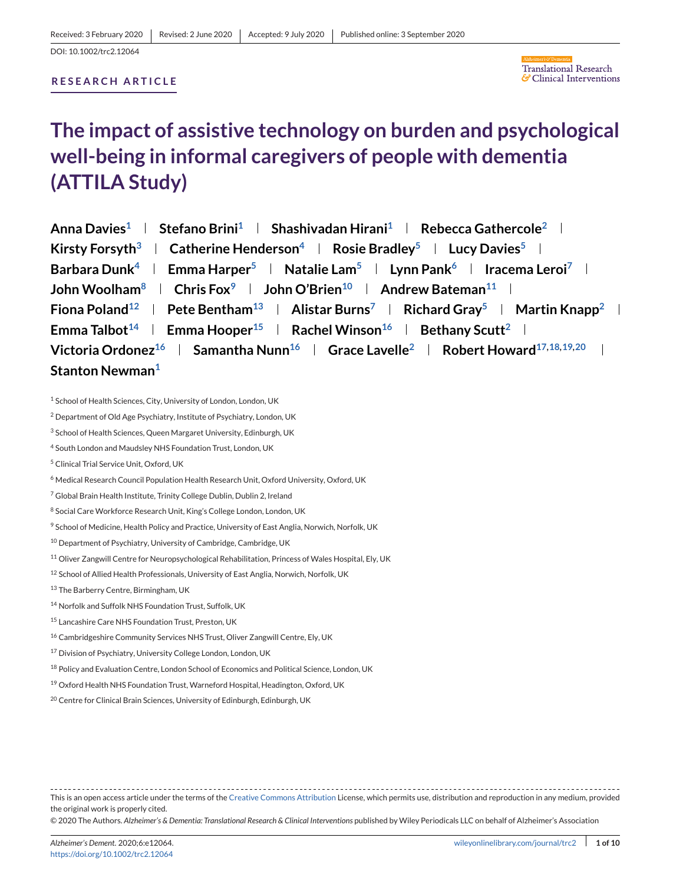# **RESEARCH ARTICLE**



# **The impact of assistive technology on burden and psychological well-being in informal caregivers of people with dementia (ATTILA Study)**

| Anna Davies <sup>1</sup>   Stefano Brini <sup>1</sup>   Shashivadan Hirani <sup>1</sup>   Rebecca Gathercole <sup>2</sup>                    |
|----------------------------------------------------------------------------------------------------------------------------------------------|
| Kirsty Forsyth <sup>3</sup>   Catherine Henderson <sup>4</sup>   Rosie Bradley <sup>5</sup>   Lucy Davies <sup>5</sup>                       |
| Barbara Dunk <sup>4</sup>   Emma Harper <sup>5</sup>   Natalie Lam <sup>5</sup>   Lynn Pank <sup>6</sup>   Iracema Leroi <sup>7</sup>        |
| John Woolham <sup>8</sup>   Chris Fox <sup>9</sup>   John O'Brien <sup>10</sup>   Andrew Bateman <sup>11</sup>                               |
| Fiona Poland <sup>12</sup>   Pete Bentham <sup>13</sup>   Alistar Burns <sup>7</sup>   Richard Gray <sup>5</sup>   Martin Knapp <sup>2</sup> |
| Emma Talbot <sup>14</sup>   Emma Hooper <sup>15</sup>   Rachel Winson <sup>16</sup>   Bethany Scutt <sup>2</sup>                             |
| Victoria Ordonez <sup>16</sup>   Samantha Nunn <sup>16</sup>   Grace Lavelle <sup>2</sup>   Robert Howard <sup>17,18,19,20</sup>             |
| Stanton Newman <sup>1</sup>                                                                                                                  |

<sup>&</sup>lt;sup>1</sup> School of Health Sciences, City, University of London, London, UK

- <sup>3</sup> School of Health Sciences, Queen Margaret University, Edinburgh, UK
- <sup>4</sup> South London and Maudsley NHS Foundation Trust, London, UK
- <sup>5</sup> Clinical Trial Service Unit, Oxford, UK
- <sup>6</sup> Medical Research Council Population Health Research Unit, Oxford University, Oxford, UK
- <sup>7</sup> Global Brain Health Institute, Trinity College Dublin, Dublin 2, Ireland
- <sup>8</sup> Social Care Workforce Research Unit, King's College London, London, UK
- <sup>9</sup> School of Medicine, Health Policy and Practice, University of East Anglia, Norwich, Norfolk, UK
- <sup>10</sup> Department of Psychiatry, University of Cambridge, Cambridge, UK
- <sup>11</sup> Oliver Zangwill Centre for Neuropsychological Rehabilitation, Princess of Wales Hospital, Ely, UK
- <sup>12</sup> School of Allied Health Professionals, University of East Anglia, Norwich, Norfolk, UK
- 13 The Barberry Centre, Birmingham, UK
- <sup>14</sup> Norfolk and Suffolk NHS Foundation Trust, Suffolk, UK
- <sup>15</sup> Lancashire Care NHS Foundation Trust, Preston, UK
- <sup>16</sup> Cambridgeshire Community Services NHS Trust, Oliver Zangwill Centre, Ely, UK
- <sup>17</sup> Division of Psychiatry, University College London, London, UK
- <sup>18</sup> Policy and Evaluation Centre, London School of Economics and Political Science, London, UK
- <sup>19</sup> Oxford Health NHS Foundation Trust, Warneford Hospital, Headington, Oxford, UK
- <sup>20</sup> Centre for Clinical Brain Sciences, University of Edinburgh, Edinburgh, UK

This is an open access article under the terms of the [Creative Commons Attribution](http://creativecommons.org/licenses/by/4.0/) License, which permits use, distribution and reproduction in any medium, provided the original work is properly cited.

© 2020 The Authors. *Alzheimer's & Dementia: Translational Research & Clinical Interventions* published by Wiley Periodicals LLC on behalf of Alzheimer's Association

<sup>2</sup> Department of Old Age Psychiatry, Institute of Psychiatry, London, UK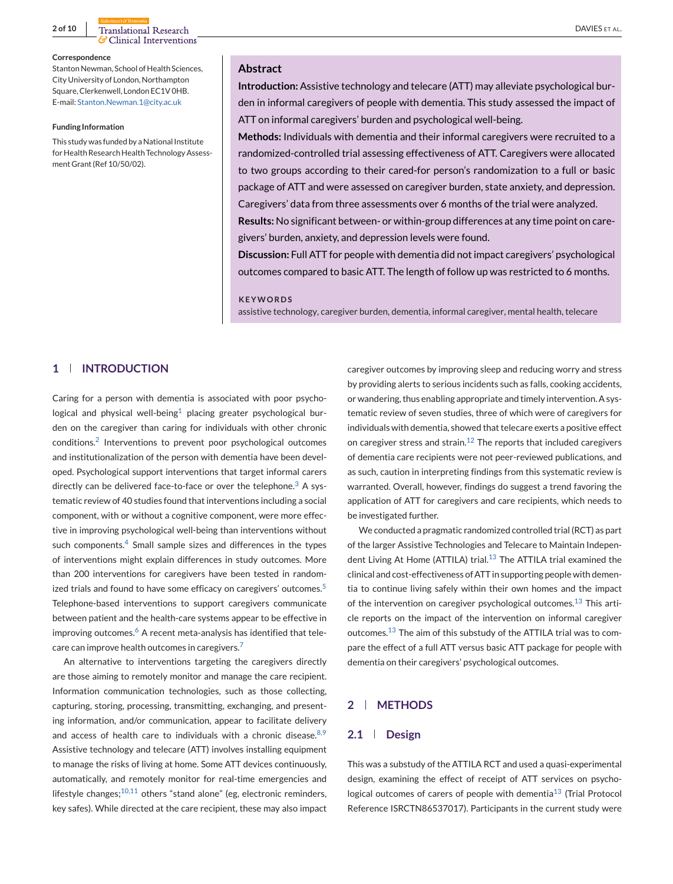**2 of 10** Translational Research **DAVIES** ET AL. G Clinical Interventions

#### **Correspondence**

Stanton Newman, School of Health Sciences, City University of London, Northampton Square, Clerkenwell, London EC1V 0HB. E-mail: [Stanton.Newman.1@city.ac.uk](mailto:Stanton.Newman.1@city.ac.uk)

#### **Funding Information**

This study was funded by a National Institute for Health Research Health Technology Assessment Grant (Ref 10/50/02).

#### **Abstract**

**Introduction:** Assistive technology and telecare (ATT) may alleviate psychological burden in informal caregivers of people with dementia. This study assessed the impact of ATT on informal caregivers' burden and psychological well-being.

**Methods:** Individuals with dementia and their informal caregivers were recruited to a randomized-controlled trial assessing effectiveness of ATT. Caregivers were allocated to two groups according to their cared-for person's randomization to a full or basic package of ATT and were assessed on caregiver burden, state anxiety, and depression. Caregivers' data from three assessments over 6 months of the trial were analyzed.

**Results:** No significant between- or within-group differences at any time point on caregivers' burden, anxiety, and depression levels were found.

**Discussion:** Full ATT for people with dementia did not impact caregivers' psychological outcomes compared to basic ATT. The length of follow up was restricted to 6 months.

#### **KEYWORDS**

assistive technology, caregiver burden, dementia, informal caregiver, mental health, telecare

# **1 INTRODUCTION**

Caring for a person with dementia is associated with poor psycho-logical and physical well-being<sup>[1](#page-8-0)</sup> placing greater psychological burden on the caregiver than caring for individuals with other chronic conditions.[2](#page-8-0) Interventions to prevent poor psychological outcomes and institutionalization of the person with dementia have been developed. Psychological support interventions that target informal carers directly can be delivered face-to-face or over the telephone.<sup>[3](#page-8-0)</sup> A systematic review of 40 studies found that interventions including a social component, with or without a cognitive component, were more effective in improving psychological well-being than interventions without such components.<sup>[4](#page-8-0)</sup> Small sample sizes and differences in the types of interventions might explain differences in study outcomes. More than 200 interventions for caregivers have been tested in random-ized trials and found to have some efficacy on caregivers' outcomes.<sup>[5](#page-8-0)</sup> Telephone-based interventions to support caregivers communicate between patient and the health-care systems appear to be effective in improving outcomes.<sup>[6](#page-8-0)</sup> A recent meta-analysis has identified that tele-care can improve health outcomes in caregivers.<sup>[7](#page-8-0)</sup>

An alternative to interventions targeting the caregivers directly are those aiming to remotely monitor and manage the care recipient. Information communication technologies, such as those collecting, capturing, storing, processing, transmitting, exchanging, and presenting information, and/or communication, appear to facilitate delivery and access of health care to individuals with a chronic disease. $8,9$ Assistive technology and telecare (ATT) involves installing equipment to manage the risks of living at home. Some ATT devices continuously, automatically, and remotely monitor for real-time emergencies and lifestyle changes; $^{10,11}$  $^{10,11}$  $^{10,11}$  others "stand alone" (eg, electronic reminders, key safes). While directed at the care recipient, these may also impact

caregiver outcomes by improving sleep and reducing worry and stress by providing alerts to serious incidents such as falls, cooking accidents, or wandering, thus enabling appropriate and timely intervention. A systematic review of seven studies, three of which were of caregivers for individuals with dementia, showed that telecare exerts a positive effect on caregiver stress and strain.<sup>[12](#page-8-0)</sup> The reports that included caregivers of dementia care recipients were not peer-reviewed publications, and as such, caution in interpreting findings from this systematic review is warranted. Overall, however, findings do suggest a trend favoring the application of ATT for caregivers and care recipients, which needs to be investigated further.

We conducted a pragmatic randomized controlled trial (RCT) as part of the larger Assistive Technologies and Telecare to Maintain Indepen-dent Living At Home (ATTILA) trial.<sup>[13](#page-8-0)</sup> The ATTILA trial examined the clinical and cost-effectiveness of ATT in supporting people with dementia to continue living safely within their own homes and the impact of the intervention on caregiver psychological outcomes.<sup>[13](#page-8-0)</sup> This article reports on the impact of the intervention on informal caregiver outcomes.[13](#page-8-0) The aim of this substudy of the ATTILA trial was to compare the effect of a full ATT versus basic ATT package for people with dementia on their caregivers' psychological outcomes.

#### **2 METHODS**

#### **2.1 Design**

This was a substudy of the ATTILA RCT and used a quasi-experimental design, examining the effect of receipt of ATT services on psychological outcomes of carers of people with dementia $13$  (Trial Protocol Reference ISRCTN86537017). Participants in the current study were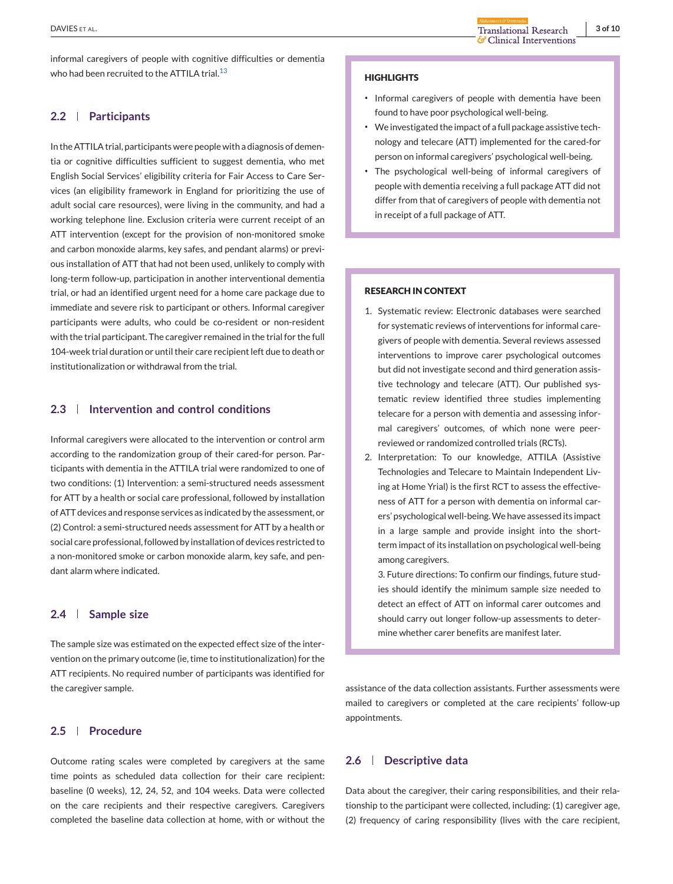informal caregivers of people with cognitive difficulties or dementia who had been recruited to the ATTILA trial. $^{13}$  $^{13}$  $^{13}$ 

# **2.2 Participants**

In the ATTILA trial, participants were people with a diagnosis of dementia or cognitive difficulties sufficient to suggest dementia, who met English Social Services' eligibility criteria for Fair Access to Care Services (an eligibility framework in England for prioritizing the use of adult social care resources), were living in the community, and had a working telephone line. Exclusion criteria were current receipt of an ATT intervention (except for the provision of non-monitored smoke and carbon monoxide alarms, key safes, and pendant alarms) or previous installation of ATT that had not been used, unlikely to comply with long-term follow-up, participation in another interventional dementia trial, or had an identified urgent need for a home care package due to immediate and severe risk to participant or others. Informal caregiver participants were adults, who could be co-resident or non-resident with the trial participant. The caregiver remained in the trial for the full 104-week trial duration or until their care recipient left due to death or institutionalization or withdrawal from the trial.

# **2.3 Intervention and control conditions**

Informal caregivers were allocated to the intervention or control arm according to the randomization group of their cared-for person. Participants with dementia in the ATTILA trial were randomized to one of two conditions: (1) Intervention: a semi-structured needs assessment for ATT by a health or social care professional, followed by installation of ATT devices and response services as indicated by the assessment, or (2) Control: a semi-structured needs assessment for ATT by a health or social care professional, followed by installation of devices restricted to a non-monitored smoke or carbon monoxide alarm, key safe, and pendant alarm where indicated.

# **2.4 Sample size**

The sample size was estimated on the expected effect size of the intervention on the primary outcome (ie, time to institutionalization) for the ATT recipients. No required number of participants was identified for the caregiver sample.

# **2.5 Procedure**

Outcome rating scales were completed by caregivers at the same time points as scheduled data collection for their care recipient: baseline (0 weeks), 12, 24, 52, and 104 weeks. Data were collected on the care recipients and their respective caregivers. Caregivers completed the baseline data collection at home, with or without the

#### **HIGHLIGHTS**

- ∙ Informal caregivers of people with dementia have been found to have poor psychological well-being.
- ∙ We investigated the impact of a full package assistive technology and telecare (ATT) implemented for the cared-for person on informal caregivers' psychological well-being.
- ∙ The psychological well-being of informal caregivers of people with dementia receiving a full package ATT did not differ from that of caregivers of people with dementia not in receipt of a full package of ATT.

#### **RESEARCH IN CONTEXT**

- 1. Systematic review: Electronic databases were searched for systematic reviews of interventions for informal caregivers of people with dementia. Several reviews assessed interventions to improve carer psychological outcomes but did not investigate second and third generation assistive technology and telecare (ATT). Our published systematic review identified three studies implementing telecare for a person with dementia and assessing informal caregivers' outcomes, of which none were peerreviewed or randomized controlled trials (RCTs).
- 2. Interpretation: To our knowledge, ATTILA (Assistive Technologies and Telecare to Maintain Independent Living at Home Yrial) is the first RCT to assess the effectiveness of ATT for a person with dementia on informal carers' psychological well-being.We have assessed its impact in a large sample and provide insight into the shortterm impact of its installation on psychological well-being among caregivers.

3. Future directions: To confirm our findings, future studies should identify the minimum sample size needed to detect an effect of ATT on informal carer outcomes and should carry out longer follow-up assessments to determine whether carer benefits are manifest later.

assistance of the data collection assistants. Further assessments were mailed to caregivers or completed at the care recipients' follow-up appointments.

### **2.6 Descriptive data**

Data about the caregiver, their caring responsibilities, and their relationship to the participant were collected, including: (1) caregiver age, (2) frequency of caring responsibility (lives with the care recipient,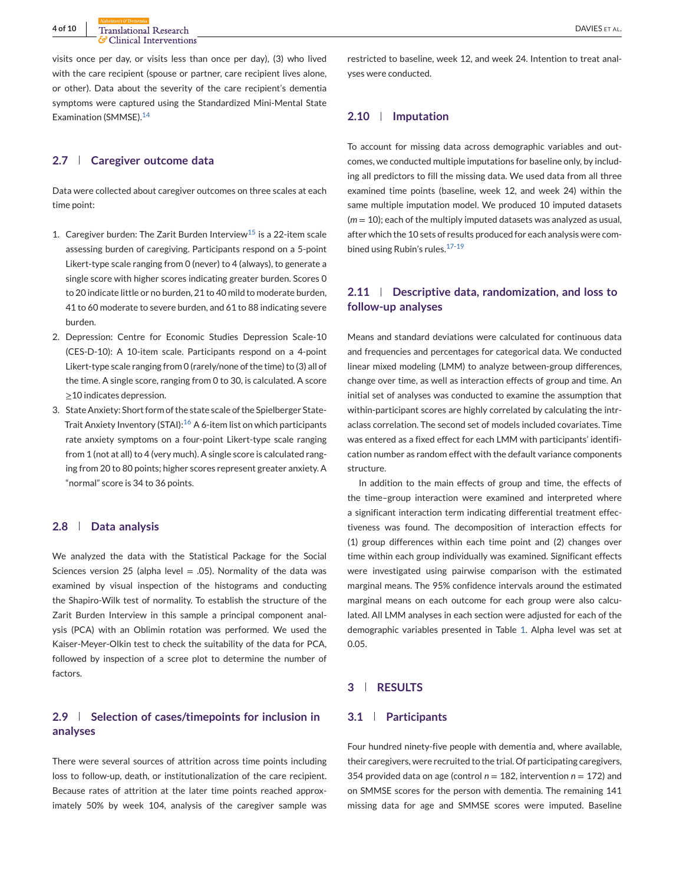visits once per day, or visits less than once per day), (3) who lived with the care recipient (spouse or partner, care recipient lives alone, or other). Data about the severity of the care recipient's dementia symptoms were captured using the Standardized Mini-Mental State Examination (SMMSE).[14](#page-8-0)

# **2.7 Caregiver outcome data**

Data were collected about caregiver outcomes on three scales at each time point:

- 1. Caregiver burden: The Zarit Burden Interview<sup>[15](#page-8-0)</sup> is a 22-item scale assessing burden of caregiving. Participants respond on a 5-point Likert-type scale ranging from 0 (never) to 4 (always), to generate a single score with higher scores indicating greater burden. Scores 0 to 20 indicate little or no burden, 21 to 40 mild to moderate burden, 41 to 60 moderate to severe burden, and 61 to 88 indicating severe burden.
- 2. Depression: Centre for Economic Studies Depression Scale-10 (CES-D-10): A 10-item scale. Participants respond on a 4-point Likert-type scale ranging from 0 (rarely/none of the time) to (3) all of the time. A single score, ranging from 0 to 30, is calculated. A score ≥10 indicates depression.
- 3. State Anxiety: Short form of the state scale of the Spielberger State-Trait Anxiety Inventory (STAI):<sup>[16](#page-8-0)</sup> A 6-item list on which participants rate anxiety symptoms on a four-point Likert-type scale ranging from 1 (not at all) to 4 (very much). A single score is calculated ranging from 20 to 80 points; higher scores represent greater anxiety. A "normal" score is 34 to 36 points.

#### **2.8 Data analysis**

We analyzed the data with the Statistical Package for the Social Sciences version 25 (alpha level  $= .05$ ). Normality of the data was examined by visual inspection of the histograms and conducting the Shapiro-Wilk test of normality. To establish the structure of the Zarit Burden Interview in this sample a principal component analysis (PCA) with an Oblimin rotation was performed. We used the Kaiser-Meyer-Olkin test to check the suitability of the data for PCA, followed by inspection of a scree plot to determine the number of factors.

# **2.9 Selection of cases/timepoints for inclusion in analyses**

There were several sources of attrition across time points including loss to follow-up, death, or institutionalization of the care recipient. Because rates of attrition at the later time points reached approximately 50% by week 104, analysis of the caregiver sample was

restricted to baseline, week 12, and week 24. Intention to treat analyses were conducted.

#### **2.10 Imputation**

To account for missing data across demographic variables and outcomes, we conducted multiple imputations for baseline only, by including all predictors to fill the missing data. We used data from all three examined time points (baseline, week 12, and week 24) within the same multiple imputation model. We produced 10 imputed datasets (*m* = 10); each of the multiply imputed datasets was analyzed as usual, after which the 10 sets of results produced for each analysis were combined using Rubin's rules.[17-19](#page-8-0)

# **2.11 Descriptive data, randomization, and loss to follow-up analyses**

Means and standard deviations were calculated for continuous data and frequencies and percentages for categorical data. We conducted linear mixed modeling (LMM) to analyze between-group differences, change over time, as well as interaction effects of group and time. An initial set of analyses was conducted to examine the assumption that within-participant scores are highly correlated by calculating the intraclass correlation. The second set of models included covariates. Time was entered as a fixed effect for each LMM with participants' identification number as random effect with the default variance components structure.

In addition to the main effects of group and time, the effects of the time–group interaction were examined and interpreted where a significant interaction term indicating differential treatment effectiveness was found. The decomposition of interaction effects for (1) group differences within each time point and (2) changes over time within each group individually was examined. Significant effects were investigated using pairwise comparison with the estimated marginal means. The 95% confidence intervals around the estimated marginal means on each outcome for each group were also calculated. All LMM analyses in each section were adjusted for each of the demographic variables presented in Table [1.](#page-4-0) Alpha level was set at 0.05.

# **3 RESULTS**

### **3.1 Participants**

Four hundred ninety-five people with dementia and, where available, their caregivers, were recruited to the trial. Of participating caregivers, 354 provided data on age (control  $n = 182$ , intervention  $n = 172$ ) and on SMMSE scores for the person with dementia. The remaining 141 missing data for age and SMMSE scores were imputed. Baseline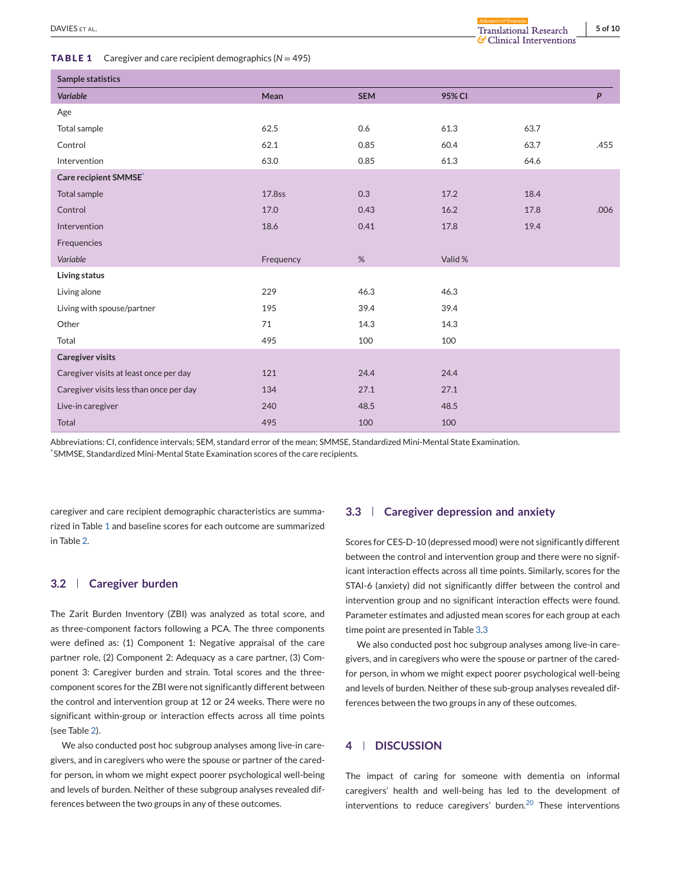#### <span id="page-4-0"></span>**TABLE 1** Caregiver and care recipient demographics (*N* = 495)

& Clinical Interventions

| Sample statistics                       |           |            |         |      |      |  |
|-----------------------------------------|-----------|------------|---------|------|------|--|
| Variable                                | Mean      | <b>SEM</b> | 95% CI  |      | P    |  |
| Age                                     |           |            |         |      |      |  |
| Total sample                            | 62.5      | 0.6        | 61.3    | 63.7 |      |  |
| Control                                 | 62.1      | 0.85       | 60.4    | 63.7 | .455 |  |
| Intervention                            | 63.0      | 0.85       | 61.3    | 64.6 |      |  |
| Care recipient SMMSE <sup>®</sup>       |           |            |         |      |      |  |
| Total sample                            | 17.8ss    | 0.3        | 17.2    | 18.4 |      |  |
| Control                                 | 17.0      | 0.43       | 16.2    | 17.8 | .006 |  |
| Intervention                            | 18.6      | 0.41       | 17.8    | 19.4 |      |  |
| Frequencies                             |           |            |         |      |      |  |
| Variable                                | Frequency | %          | Valid % |      |      |  |
| Living status                           |           |            |         |      |      |  |
| Living alone                            | 229       | 46.3       | 46.3    |      |      |  |
| Living with spouse/partner              | 195       | 39.4       | 39.4    |      |      |  |
| Other                                   | 71        | 14.3       | 14.3    |      |      |  |
| Total                                   | 495       | 100        | 100     |      |      |  |
| <b>Caregiver visits</b>                 |           |            |         |      |      |  |
| Caregiver visits at least once per day  | 121       | 24.4       | 24.4    |      |      |  |
| Caregiver visits less than once per day | 134       | 27.1       | 27.1    |      |      |  |
| Live-in caregiver                       | 240       | 48.5       | 48.5    |      |      |  |
| <b>Total</b>                            | 495       | 100        | 100     |      |      |  |

Abbreviations: CI, confidence intervals; SEM, standard error of the mean; SMMSE, Standardized Mini-Mental State Examination.  $^{\circ}$ SMMSE, Standardized Mini-Mental State Examination scores of the care recipients.

caregiver and care recipient demographic characteristics are summarized in Table 1 and baseline scores for each outcome are summarized in Table [2.](#page-5-0)

# **3.2 Caregiver burden**

The Zarit Burden Inventory (ZBI) was analyzed as total score, and as three-component factors following a PCA. The three components were defined as: (1) Component 1: Negative appraisal of the care partner role, (2) Component 2: Adequacy as a care partner, (3) Component 3: Caregiver burden and strain. Total scores and the threecomponent scores for the ZBI were not significantly different between the control and intervention group at 12 or 24 weeks. There were no significant within-group or interaction effects across all time points (see Table [2\)](#page-5-0).

We also conducted post hoc subgroup analyses among live-in caregivers, and in caregivers who were the spouse or partner of the caredfor person, in whom we might expect poorer psychological well-being and levels of burden. Neither of these subgroup analyses revealed differences between the two groups in any of these outcomes.

# **3.3 Caregiver depression and anxiety**

Scores for CES-D-10 (depressed mood) were not significantly different between the control and intervention group and there were no significant interaction effects across all time points. Similarly, scores for the STAI-6 (anxiety) did not significantly differ between the control and intervention group and no significant interaction effects were found. Parameter estimates and adjusted mean scores for each group at each time point are presented in Table [3.](#page-6-0)[3](#page-7-0)

We also conducted post hoc subgroup analyses among live-in caregivers, and in caregivers who were the spouse or partner of the caredfor person, in whom we might expect poorer psychological well-being and levels of burden. Neither of these sub-group analyses revealed differences between the two groups in any of these outcomes.

### **4 DISCUSSION**

The impact of caring for someone with dementia on informal caregivers' health and well-being has led to the development of interventions to reduce caregivers' burden.[20](#page-9-0) These interventions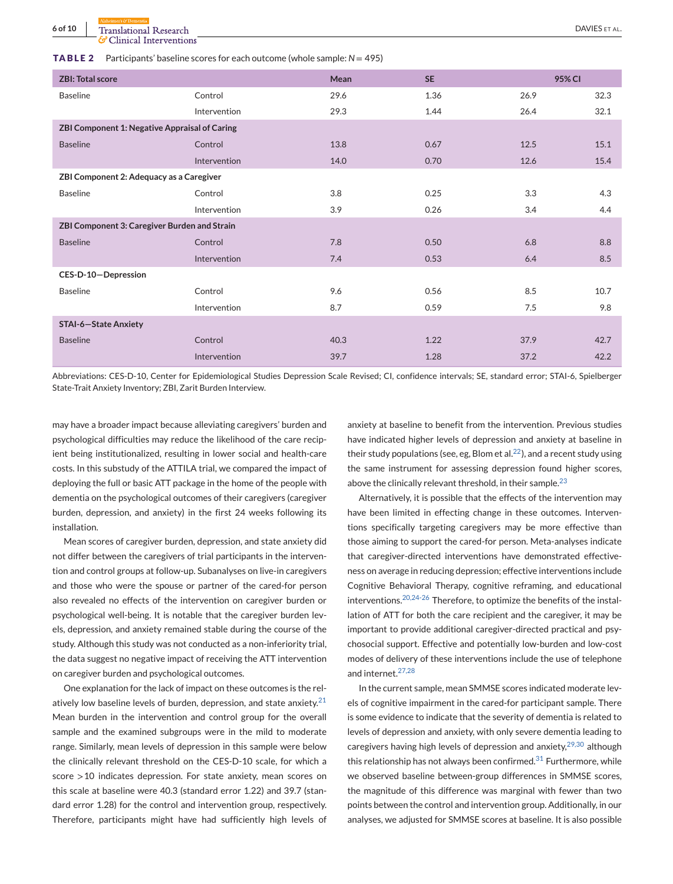<span id="page-5-0"></span>**6 of 10** Translational Research **DAVIES** ET AL. Clinical Interventions

| <b>ZBI: Total score</b>                              |              | Mean | <b>SE</b> |      | 95% CI |  |
|------------------------------------------------------|--------------|------|-----------|------|--------|--|
| <b>Baseline</b>                                      | Control      | 29.6 | 1.36      | 26.9 | 32.3   |  |
|                                                      | Intervention | 29.3 | 1.44      | 26.4 | 32.1   |  |
| <b>ZBI Component 1: Negative Appraisal of Caring</b> |              |      |           |      |        |  |
| <b>Baseline</b>                                      | Control      | 13.8 | 0.67      | 12.5 | 15.1   |  |
|                                                      | Intervention | 14.0 | 0.70      | 12.6 | 15.4   |  |
| ZBI Component 2: Adequacy as a Caregiver             |              |      |           |      |        |  |
| <b>Baseline</b>                                      | Control      | 3.8  | 0.25      | 3.3  | 4.3    |  |
|                                                      | Intervention | 3.9  | 0.26      | 3.4  | 4.4    |  |
| ZBI Component 3: Caregiver Burden and Strain         |              |      |           |      |        |  |
| <b>Baseline</b>                                      | Control      | 7.8  | 0.50      | 6.8  | 8.8    |  |
|                                                      | Intervention | 7.4  | 0.53      | 6.4  | 8.5    |  |
| CES-D-10-Depression                                  |              |      |           |      |        |  |
| <b>Baseline</b>                                      | Control      | 9.6  | 0.56      | 8.5  | 10.7   |  |
|                                                      | Intervention | 8.7  | 0.59      | 7.5  | 9.8    |  |
| <b>STAI-6-State Anxiety</b>                          |              |      |           |      |        |  |
| <b>Baseline</b>                                      | Control      | 40.3 | 1.22      | 37.9 | 42.7   |  |
|                                                      | Intervention | 39.7 | 1.28      | 37.2 | 42.2   |  |

Abbreviations: CES-D-10, Center for Epidemiological Studies Depression Scale Revised; CI, confidence intervals; SE, standard error; STAI-6, Spielberger State-Trait Anxiety Inventory; ZBI, Zarit Burden Interview.

may have a broader impact because alleviating caregivers' burden and psychological difficulties may reduce the likelihood of the care recipient being institutionalized, resulting in lower social and health-care costs. In this substudy of the ATTILA trial, we compared the impact of deploying the full or basic ATT package in the home of the people with dementia on the psychological outcomes of their caregivers (caregiver burden, depression, and anxiety) in the first 24 weeks following its installation.

Mean scores of caregiver burden, depression, and state anxiety did not differ between the caregivers of trial participants in the intervention and control groups at follow-up. Subanalyses on live-in caregivers and those who were the spouse or partner of the cared-for person also revealed no effects of the intervention on caregiver burden or psychological well-being. It is notable that the caregiver burden levels, depression, and anxiety remained stable during the course of the study. Although this study was not conducted as a non-inferiority trial, the data suggest no negative impact of receiving the ATT intervention on caregiver burden and psychological outcomes.

One explanation for the lack of impact on these outcomes is the rel-atively low baseline levels of burden, depression, and state anxiety.<sup>[21](#page-9-0)</sup> Mean burden in the intervention and control group for the overall sample and the examined subgroups were in the mild to moderate range. Similarly, mean levels of depression in this sample were below the clinically relevant threshold on the CES-D-10 scale, for which a score >10 indicates depression. For state anxiety, mean scores on this scale at baseline were 40.3 (standard error 1.22) and 39.7 (standard error 1.28) for the control and intervention group, respectively. Therefore, participants might have had sufficiently high levels of

anxiety at baseline to benefit from the intervention. Previous studies have indicated higher levels of depression and anxiety at baseline in their study populations (see, eg, Blom et al.  $^{22}$ ), and a recent study using the same instrument for assessing depression found higher scores, above the clinically relevant threshold, in their sample.  $23$ 

Alternatively, it is possible that the effects of the intervention may have been limited in effecting change in these outcomes. Interventions specifically targeting caregivers may be more effective than those aiming to support the cared-for person. Meta-analyses indicate that caregiver-directed interventions have demonstrated effectiveness on average in reducing depression; effective interventions include Cognitive Behavioral Therapy, cognitive reframing, and educational interventions.[20,24-26](#page-9-0) Therefore, to optimize the benefits of the installation of ATT for both the care recipient and the caregiver, it may be important to provide additional caregiver-directed practical and psychosocial support. Effective and potentially low-burden and low-cost modes of delivery of these interventions include the use of telephone and internet.[27,28](#page-9-0)

In the current sample, mean SMMSE scores indicated moderate levels of cognitive impairment in the cared-for participant sample. There is some evidence to indicate that the severity of dementia is related to levels of depression and anxiety, with only severe dementia leading to caregivers having high levels of depression and anxiety, $29,30$  although this relationship has not always been confirmed. $31$  Furthermore, while we observed baseline between-group differences in SMMSE scores, the magnitude of this difference was marginal with fewer than two points between the control and intervention group. Additionally, in our analyses, we adjusted for SMMSE scores at baseline. It is also possible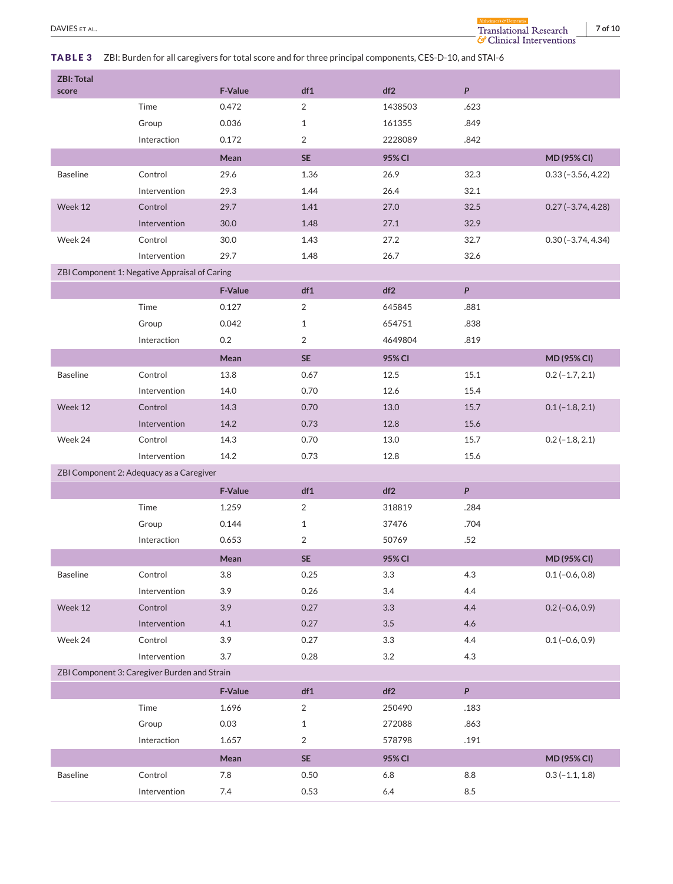$\Lambda$ 

# <span id="page-6-0"></span>**TABLE 3** ZBI: Burden for all caregivers for total score and for three principal components, CES-D-10, and STAI-6

| <b>ZBI: Total</b>                            |                                               |                |                 |         |                           |                       |
|----------------------------------------------|-----------------------------------------------|----------------|-----------------|---------|---------------------------|-----------------------|
| score                                        |                                               | <b>F-Value</b> | df1             | df2     | $\boldsymbol{\mathsf{P}}$ |                       |
|                                              | Time                                          | 0.472          | 2               | 1438503 | .623                      |                       |
|                                              | Group                                         | 0.036          | $\mathbf{1}$    | 161355  | .849                      |                       |
|                                              | Interaction                                   | 0.172          | 2               | 2228089 | .842                      |                       |
|                                              |                                               | Mean           | <b>SE</b>       | 95% CI  |                           | MD (95% CI)           |
| <b>Baseline</b>                              | Control                                       | 29.6           | 1.36            | 26.9    | 32.3                      | $0.33(-3.56, 4.22)$   |
|                                              | Intervention                                  | 29.3           | 1.44            | 26.4    | 32.1                      |                       |
| Week 12                                      | Control                                       | 29.7           | 1.41            | 27.0    | 32.5                      | $0.27 (-3.74, 4.28)$  |
|                                              | Intervention                                  | 30.0           | 1.48            | 27.1    | 32.9                      |                       |
| Week 24                                      | Control                                       | 30.0           | 1.43            | 27.2    | 32.7                      | $0.30 (-3.74, 4.34)$  |
|                                              | Intervention                                  | 29.7           | 1.48            | 26.7    | 32.6                      |                       |
|                                              | ZBI Component 1: Negative Appraisal of Caring |                |                 |         |                           |                       |
|                                              |                                               | <b>F-Value</b> | df1             | df2     | $\boldsymbol{P}$          |                       |
|                                              | Time                                          | 0.127          | 2               | 645845  | .881                      |                       |
|                                              | Group                                         | 0.042          | $\mathbf{1}$    | 654751  | .838                      |                       |
|                                              | Interaction                                   | 0.2            | 2               | 4649804 | .819                      |                       |
|                                              |                                               | Mean           | <b>SE</b>       | 95% CI  |                           | MD (95% CI)           |
| <b>Baseline</b>                              | Control                                       | 13.8           | 0.67            | 12.5    | 15.1                      | $0.2(-1.7, 2.1)$      |
|                                              | Intervention                                  | 14.0           | 0.70            | 12.6    | 15.4                      |                       |
| Week 12                                      | Control                                       | 14.3           | 0.70            | 13.0    | 15.7                      | $0.1(-1.8, 2.1)$      |
|                                              | Intervention                                  | 14.2           | 0.73            | 12.8    | 15.6                      |                       |
| Week 24                                      | Control                                       | 14.3           | 0.70            | 13.0    | 15.7                      | $0.2$ ( $-1.8$ , 2.1) |
|                                              | Intervention                                  | 14.2           | 0.73            | 12.8    | 15.6                      |                       |
|                                              | ZBI Component 2: Adequacy as a Caregiver      |                |                 |         |                           |                       |
|                                              |                                               | <b>F-Value</b> | df1             | df2     | $\boldsymbol{P}$          |                       |
|                                              | Time                                          | 1.259          | 2               | 318819  | .284                      |                       |
|                                              | Group                                         | 0.144          | $\mathbf{1}$    | 37476   | .704                      |                       |
|                                              | Interaction                                   | 0.653          | 2               | 50769   | .52                       |                       |
|                                              |                                               | Mean           | <b>SE</b>       | 95% CI  |                           | MD (95% CI)           |
| <b>Baseline</b>                              | Control                                       | 3.8            | 0.25            | 3.3     | 4.3                       | $0.1 (-0.6, 0.8)$     |
|                                              | Intervention                                  | 3.9            | 0.26            | 3.4     | 4.4                       |                       |
| Week 12                                      | Control                                       | 3.9            | 0.27            | 3.3     | 4.4                       | $0.2$ (-0.6, 0.9)     |
|                                              | Intervention                                  | 4.1            | 0.27            | $3.5\,$ | 4.6                       |                       |
| Week 24                                      | Control                                       | 3.9            | 0.27            | $3.3\,$ | 4.4                       | $0.1(-0.6, 0.9)$      |
|                                              | Intervention                                  | 3.7            | 0.28            | 3.2     | 4.3                       |                       |
| ZBI Component 3: Caregiver Burden and Strain |                                               |                |                 |         |                           |                       |
|                                              |                                               | F-Value        | df1             | df2     | $\boldsymbol{P}$          |                       |
|                                              | Time                                          | 1.696          | 2               | 250490  | .183                      |                       |
|                                              | Group                                         | 0.03           | $\mathbf{1}$    | 272088  | .863                      |                       |
|                                              | Interaction                                   | 1.657          | 2               | 578798  | .191                      |                       |
|                                              |                                               | Mean           | $\mathsf{SE}\,$ | 95% CI  |                           | MD (95% CI)           |
| <b>Baseline</b>                              | Control                                       | 7.8            | 0.50            | $6.8\,$ | 8.8                       | $0.3(-1.1, 1.8)$      |
|                                              | Intervention                                  | 7.4            | 0.53            | $6.4\,$ | 8.5                       |                       |
|                                              |                                               |                |                 |         |                           |                       |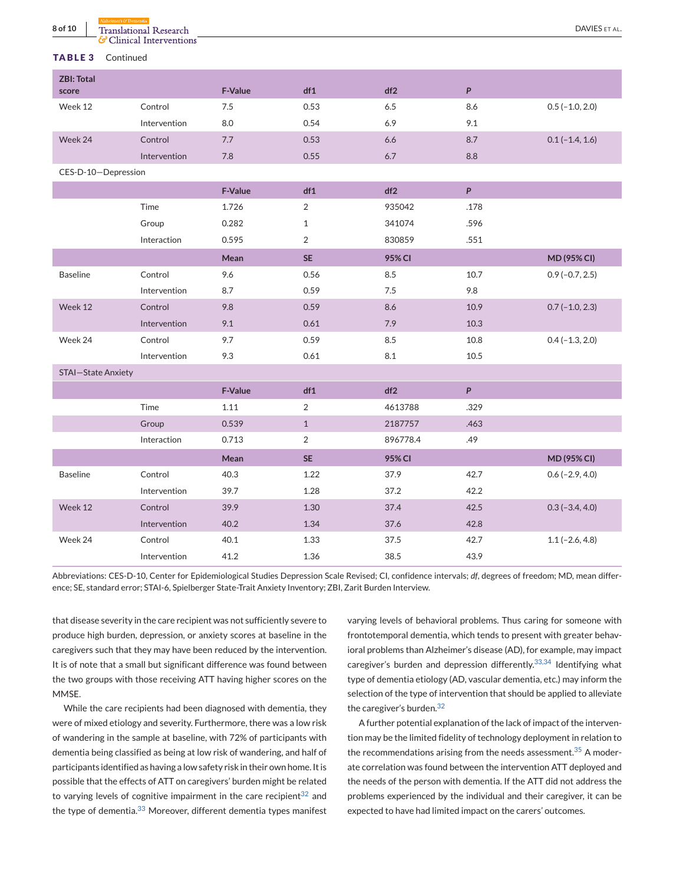| CHINGH HILL VUILLOID<br>TABLE <sub>3</sub><br>Continued |              |         |                |          |                  |                       |
|---------------------------------------------------------|--------------|---------|----------------|----------|------------------|-----------------------|
| <b>ZBI: Total</b><br>score                              |              | F-Value | df1            | df2      | P                |                       |
| Week 12                                                 | Control      | 7.5     | 0.53           | 6.5      | 8.6              | $0.5(-1.0, 2.0)$      |
|                                                         | Intervention | 8.0     | 0.54           | 6.9      | 9.1              |                       |
| Week 24                                                 | Control      | 7.7     | 0.53           | 6.6      | 8.7              | $0.1(-1.4, 1.6)$      |
|                                                         | Intervention | 7.8     | 0.55           | 6.7      | 8.8              |                       |
| CES-D-10-Depression                                     |              |         |                |          |                  |                       |
|                                                         |              | F-Value | df1            | df2      | P                |                       |
|                                                         | Time         | 1.726   | $\overline{2}$ | 935042   | .178             |                       |
|                                                         | Group        | 0.282   | $\mathbf{1}$   | 341074   | .596             |                       |
|                                                         | Interaction  | 0.595   | $\overline{2}$ | 830859   | .551             |                       |
|                                                         |              | Mean    | <b>SE</b>      | 95% CI   |                  | MD (95% CI)           |
| <b>Baseline</b>                                         | Control      | 9.6     | 0.56           | 8.5      | 10.7             | $0.9(-0.7, 2.5)$      |
|                                                         | Intervention | 8.7     | 0.59           | 7.5      | 9.8              |                       |
| Week 12                                                 | Control      | 9.8     | 0.59           | 8.6      | 10.9             | $0.7(-1.0, 2.3)$      |
|                                                         | Intervention | 9.1     | 0.61           | 7.9      | 10.3             |                       |
| Week 24                                                 | Control      | 9.7     | 0.59           | 8.5      | 10.8             | $0.4 (-1.3, 2.0)$     |
|                                                         | Intervention | 9.3     | 0.61           | 8.1      | 10.5             |                       |
| <b>STAI-State Anxiety</b>                               |              |         |                |          |                  |                       |
|                                                         |              | F-Value | df1            | df2      | $\boldsymbol{P}$ |                       |
|                                                         | Time         | 1.11    | $\overline{2}$ | 4613788  | .329             |                       |
|                                                         | Group        | 0.539   | $\mathbf{1}$   | 2187757  | .463             |                       |
|                                                         | Interaction  | 0.713   | $\overline{2}$ | 896778.4 | .49              |                       |
|                                                         |              | Mean    | <b>SE</b>      | 95% CI   |                  | MD (95% CI)           |
| <b>Baseline</b>                                         | Control      | 40.3    | 1.22           | 37.9     | 42.7             | $0.6$ ( $-2.9, 4.0$ ) |
|                                                         | Intervention | 39.7    | 1.28           | 37.2     | 42.2             |                       |
| Week 12                                                 | Control      | 39.9    | 1.30           | 37.4     | 42.5             | $0.3$ ( $-3.4$ , 4.0) |
|                                                         | Intervention | 40.2    | 1.34           | 37.6     | 42.8             |                       |
| Week 24                                                 | Control      | 40.1    | 1.33           | 37.5     | 42.7             | $1.1(-2.6, 4.8)$      |
|                                                         | Intervention | 41.2    | 1.36           | 38.5     | 43.9             |                       |

<span id="page-7-0"></span>**8 of 10** Translational Research **DAVIES** ET AL.

Abbreviations: CES-D-10, Center for Epidemiological Studies Depression Scale Revised; CI, confidence intervals; *df*, degrees of freedom; MD, mean difference; SE, standard error; STAI-6, Spielberger State-Trait Anxiety Inventory; ZBI, Zarit Burden Interview.

that disease severity in the care recipient was not sufficiently severe to produce high burden, depression, or anxiety scores at baseline in the caregivers such that they may have been reduced by the intervention. It is of note that a small but significant difference was found between the two groups with those receiving ATT having higher scores on the MMSE.

While the care recipients had been diagnosed with dementia, they were of mixed etiology and severity. Furthermore, there was a low risk of wandering in the sample at baseline, with 72% of participants with dementia being classified as being at low risk of wandering, and half of participants identified as having a low safety risk in their own home. It is possible that the effects of ATT on caregivers' burden might be related to varying levels of cognitive impairment in the care recipient<sup>[32](#page-9-0)</sup> and the type of dementia.<sup>[33](#page-9-0)</sup> Moreover, different dementia types manifest

varying levels of behavioral problems. Thus caring for someone with frontotemporal dementia, which tends to present with greater behavioral problems than Alzheimer's disease (AD), for example, may impact caregiver's burden and depression differently.  $33,34$  Identifying what type of dementia etiology (AD, vascular dementia, etc.) may inform the selection of the type of intervention that should be applied to alleviate the caregiver's burden.<sup>[32](#page-9-0)</sup>

A further potential explanation of the lack of impact of the intervention may be the limited fidelity of technology deployment in relation to the recommendations arising from the needs assessment. $35$  A moderate correlation was found between the intervention ATT deployed and the needs of the person with dementia. If the ATT did not address the problems experienced by the individual and their caregiver, it can be expected to have had limited impact on the carers' outcomes.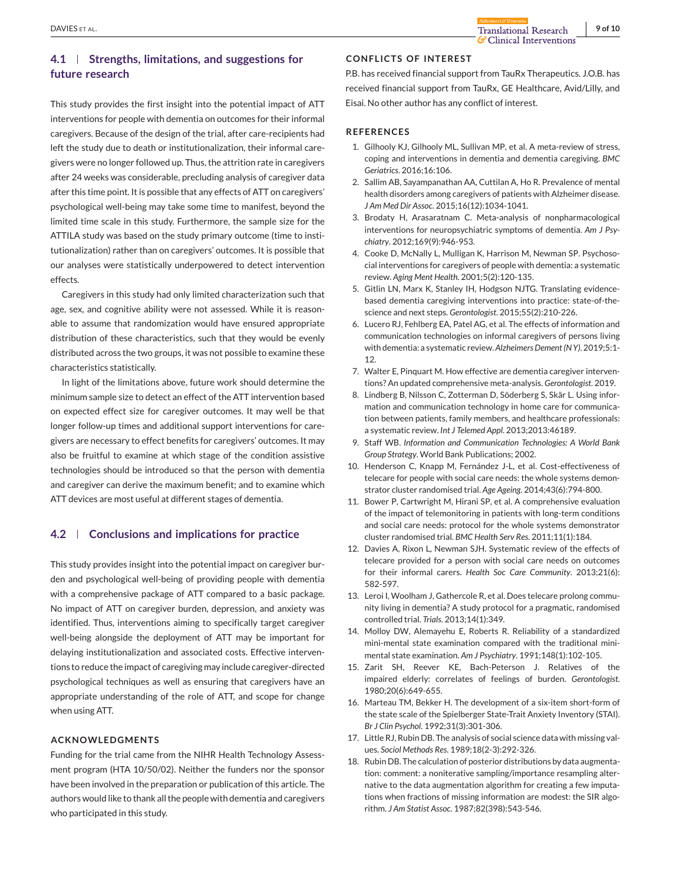# <span id="page-8-0"></span>**4.1 Strengths, limitations, and suggestions for future research**

This study provides the first insight into the potential impact of ATT interventions for people with dementia on outcomes for their informal caregivers. Because of the design of the trial, after care-recipients had left the study due to death or institutionalization, their informal caregivers were no longer followed up. Thus, the attrition rate in caregivers after 24 weeks was considerable, precluding analysis of caregiver data after this time point. It is possible that any effects of ATT on caregivers' psychological well-being may take some time to manifest, beyond the limited time scale in this study. Furthermore, the sample size for the ATTILA study was based on the study primary outcome (time to institutionalization) rather than on caregivers' outcomes. It is possible that our analyses were statistically underpowered to detect intervention effects.

Caregivers in this study had only limited characterization such that age, sex, and cognitive ability were not assessed. While it is reasonable to assume that randomization would have ensured appropriate distribution of these characteristics, such that they would be evenly distributed across the two groups, it was not possible to examine these characteristics statistically.

In light of the limitations above, future work should determine the minimum sample size to detect an effect of the ATT intervention based on expected effect size for caregiver outcomes. It may well be that longer follow-up times and additional support interventions for caregivers are necessary to effect benefits for caregivers' outcomes. It may also be fruitful to examine at which stage of the condition assistive technologies should be introduced so that the person with dementia and caregiver can derive the maximum benefit; and to examine which ATT devices are most useful at different stages of dementia.

# **4.2 Conclusions and implications for practice**

This study provides insight into the potential impact on caregiver burden and psychological well-being of providing people with dementia with a comprehensive package of ATT compared to a basic package. No impact of ATT on caregiver burden, depression, and anxiety was identified. Thus, interventions aiming to specifically target caregiver well-being alongside the deployment of ATT may be important for delaying institutionalization and associated costs. Effective interventions to reduce the impact of caregiving may include caregiver-directed psychological techniques as well as ensuring that caregivers have an appropriate understanding of the role of ATT, and scope for change when using ATT.

#### **ACKNOWLEDGMENTS**

Funding for the trial came from the NIHR Health Technology Assessment program (HTA 10/50/02). Neither the funders nor the sponsor have been involved in the preparation or publication of this article. The authors would like to thank all the people with dementia and caregivers who participated in this study.

#### **CONFLICTS OF INTEREST**

P.B. has received financial support from TauRx Therapeutics. J.O.B. has received financial support from TauRx, GE Healthcare, Avid/Lilly, and Eisai. No other author has any conflict of interest.

#### **REFERENCES**

- 1. Gilhooly KJ, Gilhooly ML, Sullivan MP, et al. A meta-review of stress, coping and interventions in dementia and dementia caregiving. *BMC Geriatrics*. 2016;16:106.
- 2. Sallim AB, Sayampanathan AA, Cuttilan A, Ho R. Prevalence of mental health disorders among caregivers of patients with Alzheimer disease. *J Am Med Dir Assoc*. 2015;16(12):1034-1041.
- 3. Brodaty H, Arasaratnam C. Meta-analysis of nonpharmacological interventions for neuropsychiatric symptoms of dementia. *Am J Psychiatry*. 2012;169(9):946-953.
- 4. Cooke D, McNally L, Mulligan K, Harrison M, Newman SP. Psychosocial interventions for caregivers of people with dementia: a systematic review. *Aging Ment Health*. 2001;5(2):120-135.
- 5. Gitlin LN, Marx K, Stanley IH, Hodgson NJTG. Translating evidencebased dementia caregiving interventions into practice: state-of-thescience and next steps. *Gerontologist*. 2015;55(2):210-226.
- 6. Lucero RJ, Fehlberg EA, Patel AG, et al. The effects of information and communication technologies on informal caregivers of persons living with dementia: a systematic review.*Alzheimers Dement (N Y)*. 2019;5:1- 12.
- 7. Walter E, Pinquart M. How effective are dementia caregiver interventions? An updated comprehensive meta-analysis. *Gerontologist*. 2019.
- 8. Lindberg B, Nilsson C, Zotterman D, Söderberg S, Skär L. Using information and communication technology in home care for communication between patients, family members, and healthcare professionals: a systematic review. *Int J Telemed Appl*. 2013;2013:46189.
- 9. Staff WB. *Information and Communication Technologies: A World Bank Group Strategy*. World Bank Publications; 2002.
- 10. Henderson C, Knapp M, Fernández J-L, et al. Cost-effectiveness of telecare for people with social care needs: the whole systems demonstrator cluster randomised trial. *Age Ageing*. 2014;43(6):794-800.
- 11. Bower P, Cartwright M, Hirani SP, et al. A comprehensive evaluation of the impact of telemonitoring in patients with long-term conditions and social care needs: protocol for the whole systems demonstrator cluster randomised trial. *BMC Health Serv Res*. 2011;11(1):184.
- 12. Davies A, Rixon L, Newman SJH. Systematic review of the effects of telecare provided for a person with social care needs on outcomes for their informal carers. *Health Soc Care Community*. 2013;21(6): 582-597.
- 13. Leroi I, Woolham J, Gathercole R, et al. Does telecare prolong community living in dementia? A study protocol for a pragmatic, randomised controlled trial. *Trials*. 2013;14(1):349.
- 14. Molloy DW, Alemayehu E, Roberts R. Reliability of a standardized mini-mental state examination compared with the traditional minimental state examination. *Am J Psychiatry*. 1991;148(1):102-105.
- 15. Zarit SH, Reever KE, Bach-Peterson J. Relatives of the impaired elderly: correlates of feelings of burden. *Gerontologist*. 1980;20(6):649-655.
- 16. Marteau TM, Bekker H. The development of a six-item short-form of the state scale of the Spielberger State-Trait Anxiety Inventory (STAI). *Br J Clin Psychol*. 1992;31(3):301-306.
- 17. Little RJ, Rubin DB. The analysis of social science data with missing values. *Sociol Methods Res*. 1989;18(2-3):292-326.
- 18. Rubin DB. The calculation of posterior distributions by data augmentation: comment: a noniterative sampling/importance resampling alternative to the data augmentation algorithm for creating a few imputations when fractions of missing information are modest: the SIR algorithm. *J Am Statist Assoc*. 1987;82(398):543-546.